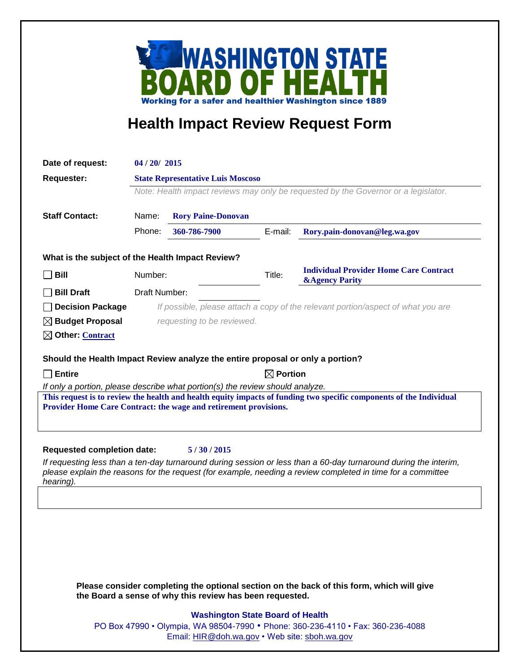

## **Health Impact Review Request Form**

| Date of request:                                                                                                                                                                                                                             | 04 / 20 / 2015                                                                     |              |  |         |                                                                            |
|----------------------------------------------------------------------------------------------------------------------------------------------------------------------------------------------------------------------------------------------|------------------------------------------------------------------------------------|--------------|--|---------|----------------------------------------------------------------------------|
| <b>Requester:</b>                                                                                                                                                                                                                            | <b>State Representative Luis Moscoso</b>                                           |              |  |         |                                                                            |
|                                                                                                                                                                                                                                              | Note: Health impact reviews may only be requested by the Governor or a legislator. |              |  |         |                                                                            |
| <b>Staff Contact:</b>                                                                                                                                                                                                                        | Name:<br><b>Rory Paine-Donovan</b>                                                 |              |  |         |                                                                            |
|                                                                                                                                                                                                                                              | Phone:                                                                             | 360-786-7900 |  | E-mail: | Rory.pain-donovan@leg.wa.gov                                               |
| What is the subject of the Health Impact Review?                                                                                                                                                                                             |                                                                                    |              |  |         |                                                                            |
| <b>Bill</b>                                                                                                                                                                                                                                  | Number:                                                                            |              |  | Title:  | <b>Individual Provider Home Care Contract</b><br><b>&amp;Agency Parity</b> |
| <b>Bill Draft</b>                                                                                                                                                                                                                            | Draft Number:                                                                      |              |  |         |                                                                            |
| <b>Decision Package</b>                                                                                                                                                                                                                      | If possible, please attach a copy of the relevant portion/aspect of what you are   |              |  |         |                                                                            |
| $\boxtimes$ Budget Proposal                                                                                                                                                                                                                  | requesting to be reviewed.                                                         |              |  |         |                                                                            |
| $\boxtimes$ Other: Contract                                                                                                                                                                                                                  |                                                                                    |              |  |         |                                                                            |
|                                                                                                                                                                                                                                              |                                                                                    |              |  |         |                                                                            |
| Should the Health Impact Review analyze the entire proposal or only a portion?                                                                                                                                                               |                                                                                    |              |  |         |                                                                            |
| $\Box$ Entire                                                                                                                                                                                                                                | $\boxtimes$ Portion                                                                |              |  |         |                                                                            |
| If only a portion, please describe what portion(s) the review should analyze.<br>This request is to review the health and health equity impacts of funding two specific components of the Individual                                         |                                                                                    |              |  |         |                                                                            |
| Provider Home Care Contract: the wage and retirement provisions.                                                                                                                                                                             |                                                                                    |              |  |         |                                                                            |
|                                                                                                                                                                                                                                              |                                                                                    |              |  |         |                                                                            |
|                                                                                                                                                                                                                                              |                                                                                    |              |  |         |                                                                            |
| <b>Requested completion date:</b><br>5/30/2015                                                                                                                                                                                               |                                                                                    |              |  |         |                                                                            |
| If requesting less than a ten-day turnaround during session or less than a 60-day turnaround during the interim,<br>please explain the reasons for the request (for example, needing a review completed in time for a committee<br>hearing). |                                                                                    |              |  |         |                                                                            |
|                                                                                                                                                                                                                                              |                                                                                    |              |  |         |                                                                            |
|                                                                                                                                                                                                                                              |                                                                                    |              |  |         |                                                                            |
|                                                                                                                                                                                                                                              |                                                                                    |              |  |         |                                                                            |
|                                                                                                                                                                                                                                              |                                                                                    |              |  |         |                                                                            |
|                                                                                                                                                                                                                                              |                                                                                    |              |  |         |                                                                            |
|                                                                                                                                                                                                                                              |                                                                                    |              |  |         |                                                                            |

**Please consider completing the optional section on the back of this form, which will give the Board a sense of why this review has been requested.**

## **Washington State Board of Health**

PO Box 47990 • Olympia, WA 98504-7990 • Phone: 360-236-4110 • Fax: 360-236-4088 Email: [HIR@doh.wa.gov](mailto:HIR@doh.wa.gov) • Web site: [sboh.wa.gov](http://www.sboh.wa.gov/hdcouncil/)